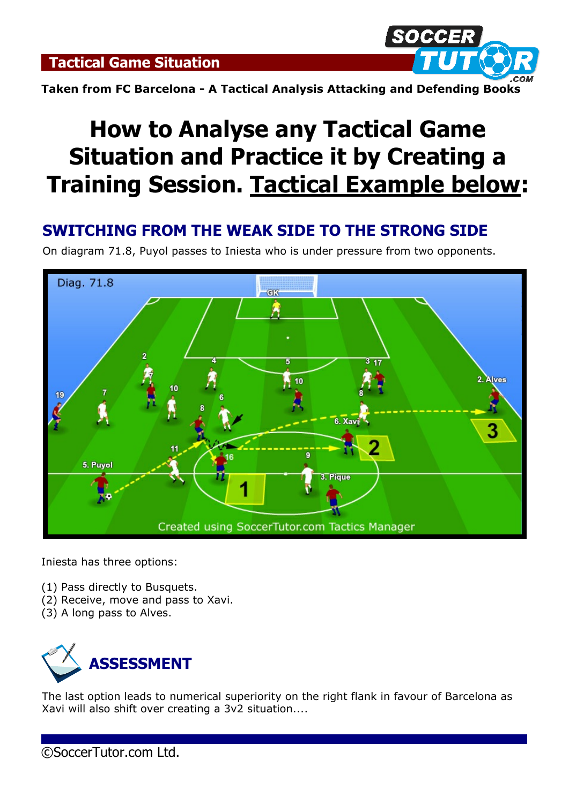**Tactical Game Situation**



**Taken from FC Barcelona - A Tactical Analysis Attacking and Defending Books**

# **How to Analyse any Tactical Game Situation and Practice it by Creating a Training Session. Tactical Example below:**

## **SWITCHING FROM THE WEAK SIDE TO THE STRONG SIDE**

On diagram 71.8, Puyol passes to Iniesta who is under pressure from two opponents.



Iniesta has three options:

- (1) Pass directly to Busquets.
- (2) Receive, move and pass to Xavi.
- (3) A long pass to Alves.



The last option leads to numerical superiority on the right flank in favour of Barcelona as Xavi will also shift over creating a 3v2 situation....

©SoccerTutor.com Ltd.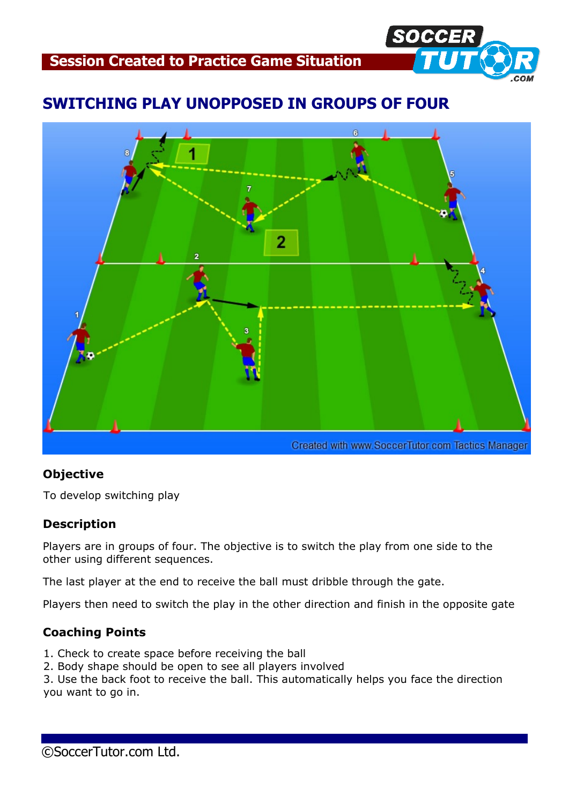

## **SWITCHING PLAY UNOPPOSED IN GROUPS OF FOUR**



#### **Objective**

To develop switching play

#### **Description**

Players are in groups of four. The objective is to switch the play from one side to the other using different sequences.

The last player at the end to receive the ball must dribble through the gate.

Players then need to switch the play in the other direction and finish in the opposite gate

#### **Coaching Points**

- 1. Check to create space before receiving the ball
- 2. Body shape should be open to see all players involved

3. Use the back foot to receive the ball. This automatically helps you face the direction you want to go in.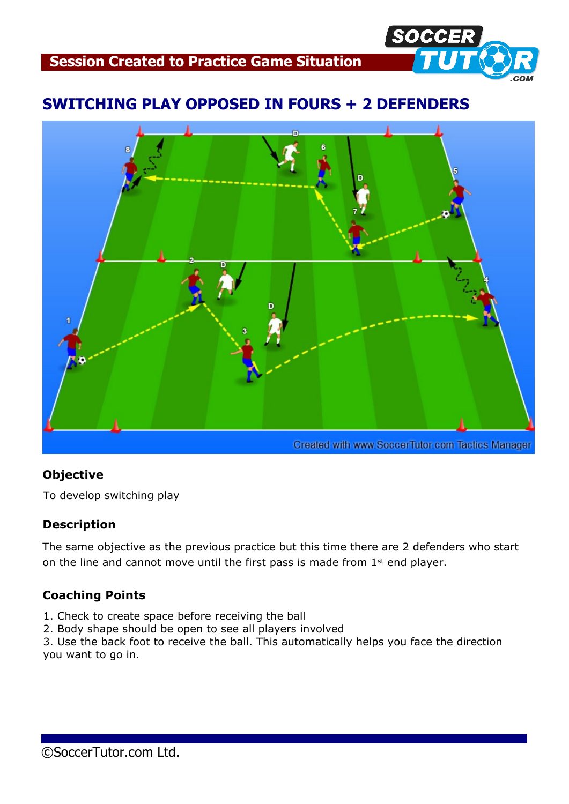

## **SWITCHING PLAY OPPOSED IN FOURS + 2 DEFENDERS**



#### **Objective**

To develop switching play

#### **Description**

The same objective as the previous practice but this time there are 2 defenders who start on the line and cannot move until the first pass is made from 1<sup>st</sup> end player.

#### **Coaching Points**

- 1. Check to create space before receiving the ball
- 2. Body shape should be open to see all players involved

3. Use the back foot to receive the ball. This automatically helps you face the direction you want to go in.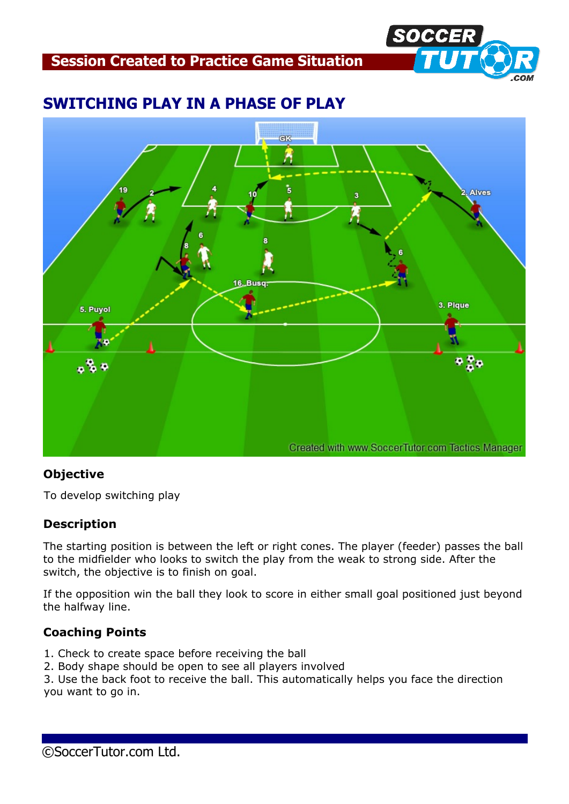**Session Created to Practice Game Situation**



### **SWITCHING PLAY IN A PHASE OF PLAY**



#### **Objective**

To develop switching play

#### **Description**

The starting position is between the left or right cones. The player (feeder) passes the ball to the midfielder who looks to switch the play from the weak to strong side. After the switch, the objective is to finish on goal.

If the opposition win the ball they look to score in either small goal positioned just beyond the halfway line.

#### **Coaching Points**

- 1. Check to create space before receiving the ball
- 2. Body shape should be open to see all players involved

3. Use the back foot to receive the ball. This automatically helps you face the direction you want to go in.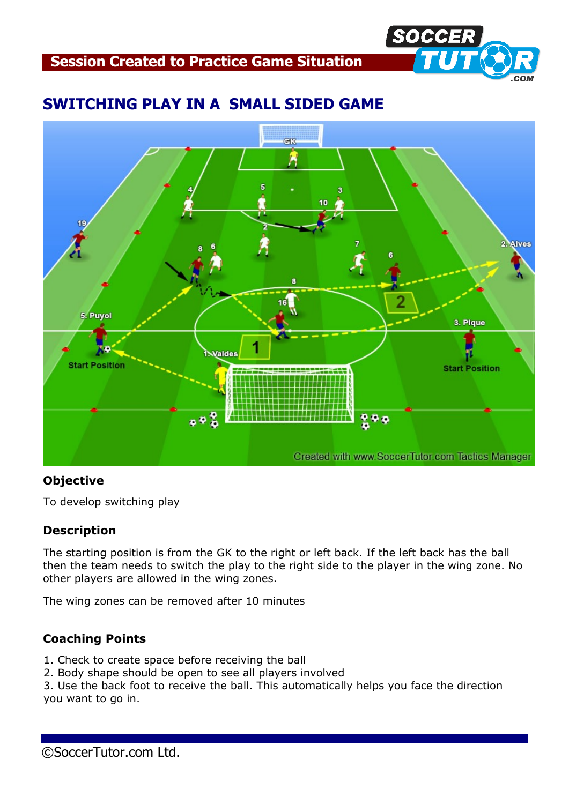**Session Created to Practice Game Situation**



## **SWITCHING PLAY IN A SMALL SIDED GAME**



#### **Objective**

To develop switching play

#### **Description**

The starting position is from the GK to the right or left back. If the left back has the ball then the team needs to switch the play to the right side to the player in the wing zone. No other players are allowed in the wing zones.

The wing zones can be removed after 10 minutes

#### **Coaching Points**

- 1. Check to create space before receiving the ball
- 2. Body shape should be open to see all players involved

3. Use the back foot to receive the ball. This automatically helps you face the direction you want to go in.

©SoccerTutor.com Ltd.